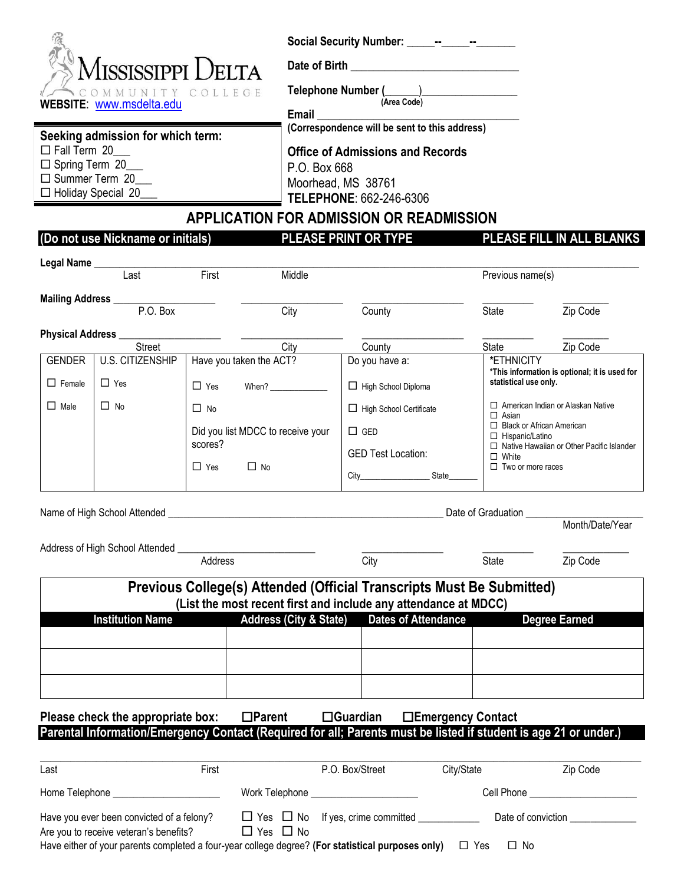| <b>SMISSISSIPPI DELTA</b> |  |
|---------------------------|--|
| COMMUNITY COLLEGE         |  |
| WEBSITE: www.msdelta.edu  |  |

**Seeking admission for which term:**

 $\Box$  Fall Term 20  $\Box$  Spring Term  $\overline{20}$ □ Summer Term 20 □ Holiday Special 20

Social Security Number: \_\_\_\_\_--\_\_\_\_--\_\_\_\_-

Date of Birth \_\_

**Telephone Number (**\_\_\_\_\_\_)\_\_\_\_\_\_\_\_\_\_\_\_\_\_\_\_\_  **(Area Code)**

**Email** \_\_\_\_\_\_\_\_\_\_\_\_\_\_\_\_\_\_\_\_\_\_\_\_\_\_\_\_\_\_\_\_\_\_\_\_

**(Correspondence will be sent to this address)**

**Office of Admissions and Records** P.O. Box 668 Moorhead, MS 38761

**TELEPHONE**: 662-246-6306

# **APPLICATION FOR ADMISSION OR READMISSION**

## **(Do not use Nickname or initials) PLEASE PRINT OR TYPE PLEASE FILL IN ALL BLANKS**

| Mailing Address _____________________ |                                                |                                    |                                                                                      | Previous name(s)                                 |
|---------------------------------------|------------------------------------------------|------------------------------------|--------------------------------------------------------------------------------------|--------------------------------------------------|
|                                       |                                                |                                    |                                                                                      |                                                  |
| P.O. Box                              | City                                           | County                             | State                                                                                | Zip Code                                         |
| Physical Address _________            |                                                |                                    |                                                                                      |                                                  |
| <b>Street</b>                         | City                                           | County                             | State                                                                                | Zip Code                                         |
| U.S. CITIZENSHIP<br>$\Box$ Yes        | Have you taken the ACT?<br>$\Box$ Yes<br>When? | Do you have a:                     | *ETHNICITY<br>*This information is optional; it is used for<br>statistical use only. |                                                  |
| $\Box$ No                             | $\Box$ No                                      | $\Box$ High School Certificate     | $\Box$ Asian                                                                         | □ American Indian or Alaskan Native              |
|                                       | Did you list MDCC to receive your              | $\Box$ GED                         | $\Box$ Black or African American<br>$\Box$ Hispanic/Latino                           |                                                  |
|                                       |                                                | <b>GED Test Location:</b>          | $\Box$ White                                                                         | $\Box$ Native Hawaiian or Other Pacific Islander |
|                                       |                                                | City________________________State_ |                                                                                      |                                                  |
|                                       |                                                | scores?<br>$\Box$ No<br>$\Box$ Yes | □ High School Diploma                                                                | $\Box$ Two or more races                         |

|                                                                        |                |                      |                                                                 |                                                                                                                  | Month/Date/Year      |
|------------------------------------------------------------------------|----------------|----------------------|-----------------------------------------------------------------|------------------------------------------------------------------------------------------------------------------|----------------------|
|                                                                        |                |                      |                                                                 |                                                                                                                  |                      |
|                                                                        | <b>Address</b> |                      | City                                                            | State                                                                                                            | Zip Code             |
|                                                                        |                |                      | (List the most recent first and include any attendance at MDCC) | Previous College(s) Attended (Official Transcripts Must Be Submitted)                                            |                      |
| <b>Institution Name</b>                                                |                |                      |                                                                 | Address (City & State) Dates of Attendance                                                                       | <b>Degree Earned</b> |
|                                                                        |                |                      |                                                                 |                                                                                                                  |                      |
|                                                                        |                |                      |                                                                 |                                                                                                                  |                      |
| Please check the appropriate box: □Parent □Guardian □Emergency Contact |                |                      |                                                                 |                                                                                                                  |                      |
|                                                                        |                |                      |                                                                 | Parental Information/Emergency Contact (Required for all; Parents must be listed if student is age 21 or under.) |                      |
| Last                                                                   | First          |                      | P.O. Box/Street                                                 | City/State                                                                                                       | Zip Code             |
| Home Telephone ________________________                                |                |                      | Work Telephone _______________________                          |                                                                                                                  |                      |
| Are you to receive veteran's benefits?                                 |                | $\Box$ Yes $\Box$ No |                                                                 |                                                                                                                  |                      |

Have either of your parents completed a four-year college degree? (For statistical purposes only)  $\Box$  Yes  $\Box$  No